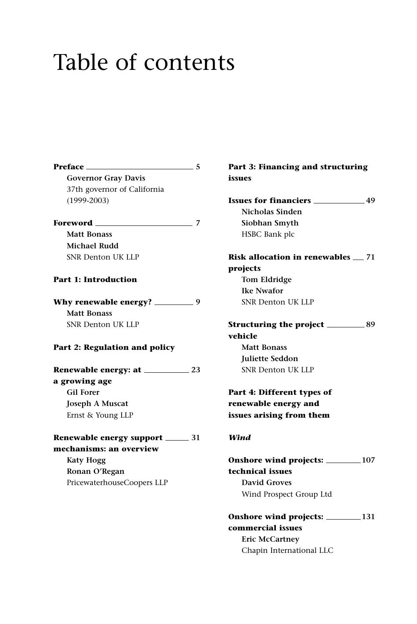# Table of contents

**Preface 5 Governor Gray Davis**  37th governor of California (1999-2003) **Foreword 7 Matt Bonass Michael Rudd** SNR Denton UK LLP **Part 1: Introduction Why renewable energy?** \_\_\_\_\_\_\_\_\_\_9 **Matt Bonass** SNR Denton UK LLP **Part 2: Regulation and policy Renewable energy: at 23 a growing age Gil Forer Joseph A Muscat** Ernst & Young LLP

#### **Renewable energy support 31 mechanisms: an overview**

**Katy Hogg Ronan O'Regan** PricewaterhouseCoopers LLP **Part 3: Financing and structuring issues Issues for financiers 49 Nicholas Sinden Siobhan Smyth** HSBC Bank plc **Risk allocation in renewables**  $\equiv$  **71 projects Tom Eldridge Ike Nwafor** SNR Denton UK LLP **Structuring the project 89 vehicle Matt Bonass Juliette Seddon** SNR Denton UK LLP

## **Part 4: Different types of renewable energy and issues arising from them**

### *Wind*

**Onshore wind projects: 107 technical issues David Groves** Wind Prospect Group Ltd

**Onshore wind projects: 131 commercial issues Eric McCartney** Chapin International LLC